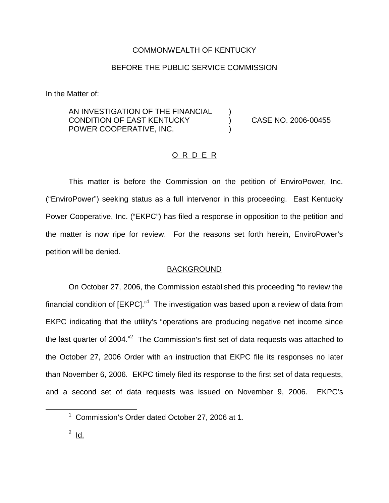### COMMONWEALTH OF KENTUCKY

## BEFORE THE PUBLIC SERVICE COMMISSION

In the Matter of:

AN INVESTIGATION OF THE FINANCIAL CONDITION OF EAST KENTUCKY ) CASE NO. 2006-00455 POWER COOPERATIVE, INC.

### O R D E R

This matter is before the Commission on the petition of EnviroPower, Inc. ("EnviroPower") seeking status as a full intervenor in this proceeding. East Kentucky Power Cooperative, Inc. ("EKPC") has filed a response in opposition to the petition and the matter is now ripe for review. For the reasons set forth herein, EnviroPower's petition will be denied.

#### **BACKGROUND**

On October 27, 2006, the Commission established this proceeding "to review the financial condition of [EKPC]."<sup>1</sup> The investigation was based upon a review of data from EKPC indicating that the utility's "operations are producing negative net income since the last quarter of 2004."<sup>2</sup> The Commission's first set of data requests was attached to the October 27, 2006 Order with an instruction that EKPC file its responses no later than November 6, 2006. EKPC timely filed its response to the first set of data requests, and a second set of data requests was issued on November 9, 2006. EKPC's

 $1$  Commission's Order dated October 27, 2006 at 1.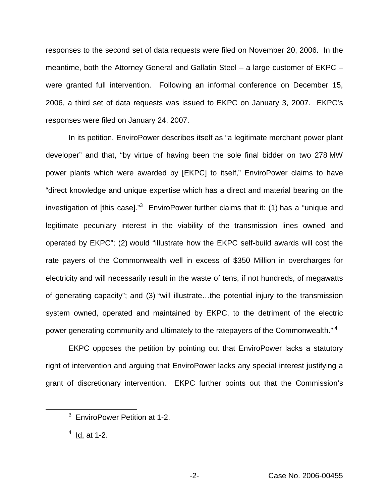responses to the second set of data requests were filed on November 20, 2006. In the meantime, both the Attorney General and Gallatin Steel – a large customer of EKPC – were granted full intervention. Following an informal conference on December 15, 2006, a third set of data requests was issued to EKPC on January 3, 2007. EKPC's responses were filed on January 24, 2007.

In its petition, EnviroPower describes itself as "a legitimate merchant power plant developer" and that, "by virtue of having been the sole final bidder on two 278 MW power plants which were awarded by [EKPC] to itself," EnviroPower claims to have "direct knowledge and unique expertise which has a direct and material bearing on the investigation of [this case]. $<sup>3</sup>$  EnviroPower further claims that it: (1) has a "unique and</sup> legitimate pecuniary interest in the viability of the transmission lines owned and operated by EKPC"; (2) would "illustrate how the EKPC self-build awards will cost the rate payers of the Commonwealth well in excess of \$350 Million in overcharges for electricity and will necessarily result in the waste of tens, if not hundreds, of megawatts of generating capacity"; and (3) "will illustrate…the potential injury to the transmission system owned, operated and maintained by EKPC, to the detriment of the electric power generating community and ultimately to the ratepayers of the Commonwealth."<sup>4</sup>

EKPC opposes the petition by pointing out that EnviroPower lacks a statutory right of intervention and arguing that EnviroPower lacks any special interest justifying a grant of discretionary intervention. EKPC further points out that the Commission's

<sup>&</sup>lt;sup>3</sup> EnviroPower Petition at 1-2.

 $4$  Id. at 1-2.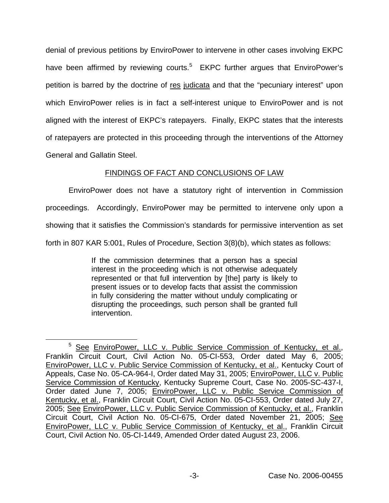denial of previous petitions by EnviroPower to intervene in other cases involving EKPC have been affirmed by reviewing courts.<sup>5</sup> EKPC further argues that EnviroPower's petition is barred by the doctrine of res judicata and that the "pecuniary interest" upon which EnviroPower relies is in fact a self-interest unique to EnviroPower and is not aligned with the interest of EKPC's ratepayers. Finally, EKPC states that the interests of ratepayers are protected in this proceeding through the interventions of the Attorney General and Gallatin Steel.

# FINDINGS OF FACT AND CONCLUSIONS OF LAW

EnviroPower does not have a statutory right of intervention in Commission proceedings. Accordingly, EnviroPower may be permitted to intervene only upon a showing that it satisfies the Commission's standards for permissive intervention as set forth in 807 KAR 5:001, Rules of Procedure, Section 3(8)(b), which states as follows:

> If the commission determines that a person has a special interest in the proceeding which is not otherwise adequately represented or that full intervention by [the] party is likely to present issues or to develop facts that assist the commission in fully considering the matter without unduly complicating or disrupting the proceedings, such person shall be granted full intervention.

<sup>&</sup>lt;sup>5</sup> See EnviroPower, LLC v. Public Service Commission of Kentucky, et al., Franklin Circuit Court, Civil Action No. 05-CI-553, Order dated May 6, 2005; EnviroPower, LLC v. Public Service Commission of Kentucky, et al., Kentucky Court of Appeals, Case No. 05-CA-964-I, Order dated May 31, 2005; EnviroPower, LLC v. Public Service Commission of Kentucky, Kentucky Supreme Court, Case No. 2005-SC-437-I, Order dated June 7, 2005; EnviroPower, LLC v. Public Service Commission of Kentucky, et al., Franklin Circuit Court, Civil Action No. 05-CI-553, Order dated July 27, 2005; See EnviroPower, LLC v. Public Service Commission of Kentucky, et al., Franklin Circuit Court, Civil Action No. 05-CI-675, Order dated November 21, 2005; See EnviroPower, LLC v. Public Service Commission of Kentucky, et al., Franklin Circuit Court, Civil Action No. 05-CI-1449, Amended Order dated August 23, 2006.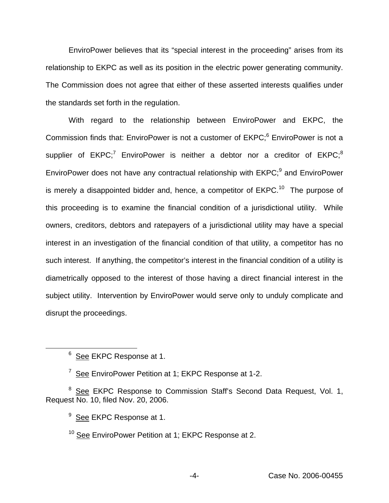EnviroPower believes that its "special interest in the proceeding" arises from its relationship to EKPC as well as its position in the electric power generating community. The Commission does not agree that either of these asserted interests qualifies under the standards set forth in the regulation.

With regard to the relationship between EnviroPower and EKPC, the Commission finds that: EnviroPower is not a customer of EKPC;<sup>6</sup> EnviroPower is not a supplier of  $EKPC$ ;<sup>7</sup> EnviroPower is neither a debtor nor a creditor of  $EKPC$ ;<sup>8</sup> EnviroPower does not have any contractual relationship with EKPC;<sup>9</sup> and EnviroPower is merely a disappointed bidder and, hence, a competitor of  $E KPC$ <sup>10</sup> The purpose of this proceeding is to examine the financial condition of a jurisdictional utility. While owners, creditors, debtors and ratepayers of a jurisdictional utility may have a special interest in an investigation of the financial condition of that utility, a competitor has no such interest. If anything, the competitor's interest in the financial condition of a utility is diametrically opposed to the interest of those having a direct financial interest in the subject utility. Intervention by EnviroPower would serve only to unduly complicate and disrupt the proceedings.

<sup>6</sup> See EKPC Response at 1.

<sup>&</sup>lt;sup>7</sup> See EnviroPower Petition at 1; EKPC Response at 1-2.

<sup>&</sup>lt;sup>8</sup> See EKPC Response to Commission Staff's Second Data Request, Vol. 1, Request No. 10, filed Nov. 20, 2006.

 $9$  See EKPC Response at 1.

<sup>&</sup>lt;sup>10</sup> See EnviroPower Petition at 1; EKPC Response at 2.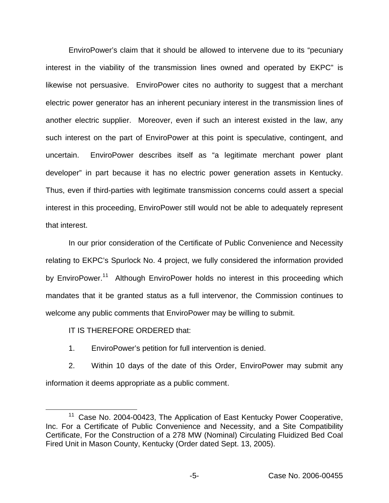EnviroPower's claim that it should be allowed to intervene due to its "pecuniary interest in the viability of the transmission lines owned and operated by EKPC" is likewise not persuasive. EnviroPower cites no authority to suggest that a merchant electric power generator has an inherent pecuniary interest in the transmission lines of another electric supplier. Moreover, even if such an interest existed in the law, any such interest on the part of EnviroPower at this point is speculative, contingent, and uncertain. EnviroPower describes itself as "a legitimate merchant power plant developer" in part because it has no electric power generation assets in Kentucky. Thus, even if third-parties with legitimate transmission concerns could assert a special interest in this proceeding, EnviroPower still would not be able to adequately represent that interest.

In our prior consideration of the Certificate of Public Convenience and Necessity relating to EKPC's Spurlock No. 4 project, we fully considered the information provided by EnviroPower.<sup>11</sup> Although EnviroPower holds no interest in this proceeding which mandates that it be granted status as a full intervenor, the Commission continues to welcome any public comments that EnviroPower may be willing to submit.

IT IS THEREFORE ORDERED that:

1. EnviroPower's petition for full intervention is denied.

2. Within 10 days of the date of this Order, EnviroPower may submit any information it deems appropriate as a public comment.

<sup>&</sup>lt;sup>11</sup> Case No. 2004-00423, The Application of East Kentucky Power Cooperative, Inc. For a Certificate of Public Convenience and Necessity, and a Site Compatibility Certificate, For the Construction of a 278 MW (Nominal) Circulating Fluidized Bed Coal Fired Unit in Mason County, Kentucky (Order dated Sept. 13, 2005).